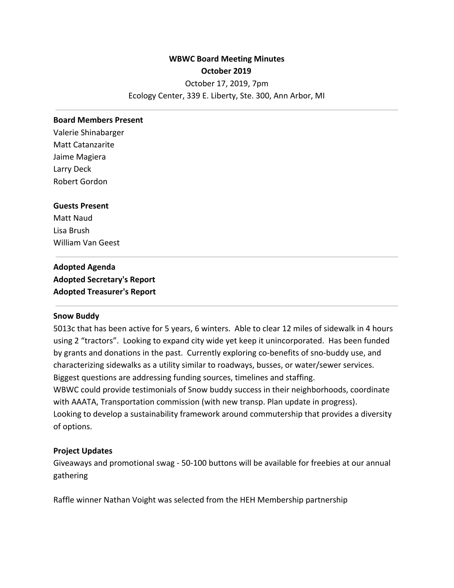# **WBWC Board Meeting Minutes October 2019** October 17, 2019, 7pm Ecology Center, 339 E. Liberty, Ste. 300, Ann Arbor, MI

#### **Board Members Present**

Valerie Shinabarger Matt Catanzarite Jaime Magiera Larry Deck Robert Gordon

#### **Guests Present**

Matt Naud Lisa Brush William Van Geest

**Adopted Agenda Adopted Secretary's Report Adopted Treasurer's Report**

#### **Snow Buddy**

5013c that has been active for 5 years, 6 winters. Able to clear 12 miles of sidewalk in 4 hours using 2 "tractors". Looking to expand city wide yet keep it unincorporated. Has been funded by grants and donations in the past. Currently exploring co-benefits of sno-buddy use, and characterizing sidewalks as a utility similar to roadways, busses, or water/sewer services. Biggest questions are addressing funding sources, timelines and staffing. WBWC could provide testimonials of Snow buddy success in their neighborhoods, coordinate with AAATA, Transportation commission (with new transp. Plan update in progress). Looking to develop a sustainability framework around commutership that provides a diversity

#### **Project Updates**

of options.

Giveaways and promotional swag - 50-100 buttons will be available for freebies at our annual gathering

Raffle winner Nathan Voight was selected from the HEH Membership partnership